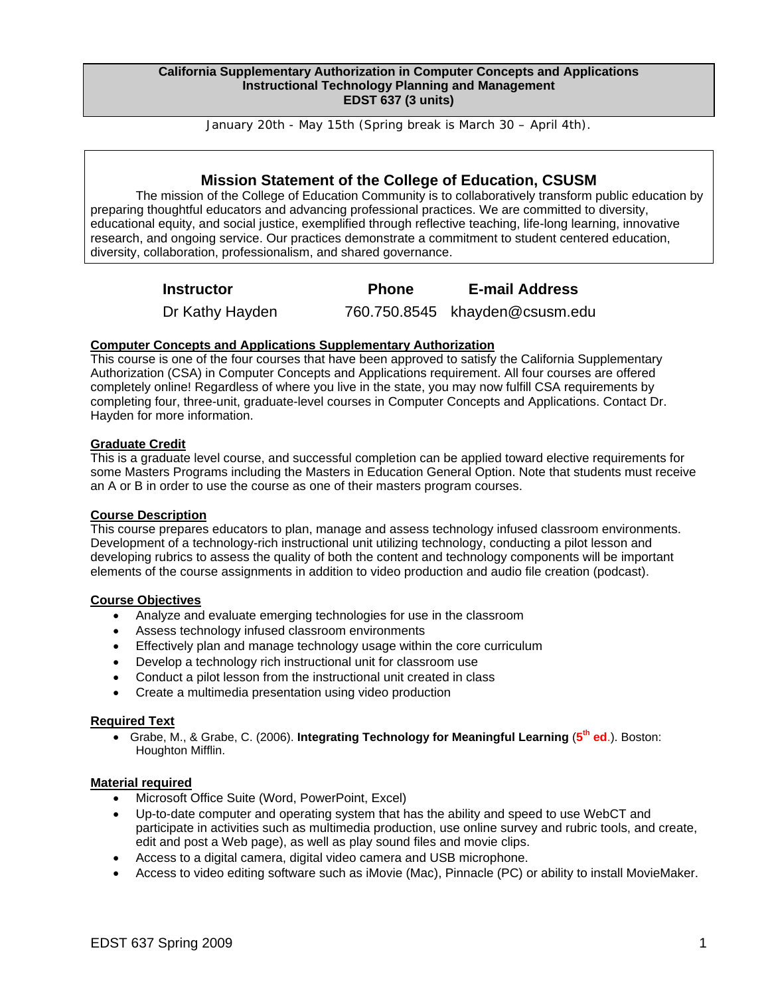#### **California Supplementary Authorization in Computer Concepts and Applications Instructional Technology Planning and Management EDST 637 (3 units)**

January 20th - May 15th (Spring break is March 30 – April 4th).

# **Mission Statement of the College of Education, CSUSM**

The mission of the College of Education Community is to collaboratively transform public education by preparing thoughtful educators and advancing professional practices. We are committed to diversity, educational equity, and social justice, exemplified through reflective teaching, life-long learning, innovative research, and ongoing service. Our practices demonstrate a commitment to student centered education, diversity, collaboration, professionalism, and shared governance.

**Instructor Phone E-mail Address** 

Dr Kathy Hayden 760.750.8545 khayden@csusm.edu

# **Computer Concepts and Applications Supplementary Authorization**

This course is one of the four courses that have been approved to satisfy the California Supplementary Authorization (CSA) in Computer Concepts and Applications requirement. All four courses are offered completely online! Regardless of where you live in the state, you may now fulfill CSA requirements by completing four, three-unit, graduate-level courses in Computer Concepts and Applications. Contact Dr. Hayden for more information.

# **Graduate Credit**

This is a graduate level course, and successful completion can be applied toward elective requirements for some Masters Programs including the Masters in Education General Option. Note that students must receive an A or B in order to use the course as one of their masters program courses.

# **Course Description**

This course prepares educators to plan, manage and assess technology infused classroom environments. Development of a technology-rich instructional unit utilizing technology, conducting a pilot lesson and developing rubrics to assess the quality of both the content and technology components will be important elements of the course assignments in addition to video production and audio file creation (podcast).

# **Course Objectives**

- Analyze and evaluate emerging technologies for use in the classroom
- Assess technology infused classroom environments
- Effectively plan and manage technology usage within the core curriculum
- Develop a technology rich instructional unit for classroom use
- Conduct a pilot lesson from the instructional unit created in class
- Create a multimedia presentation using video production

#### **Required Text**

• Grabe, M., & Grabe, C. (2006). **Integrating Technology for Meaningful Learning** (**5th ed**.). Boston: Houghton Mifflin.

#### **Material required**

- Microsoft Office Suite (Word, PowerPoint, Excel)
- Up-to-date computer and operating system that has the ability and speed to use WebCT and participate in activities such as multimedia production, use online survey and rubric tools, and create, edit and post a Web page), as well as play sound files and movie clips.
- Access to a digital camera, digital video camera and USB microphone.
- Access to video editing software such as iMovie (Mac), Pinnacle (PC) or ability to install MovieMaker.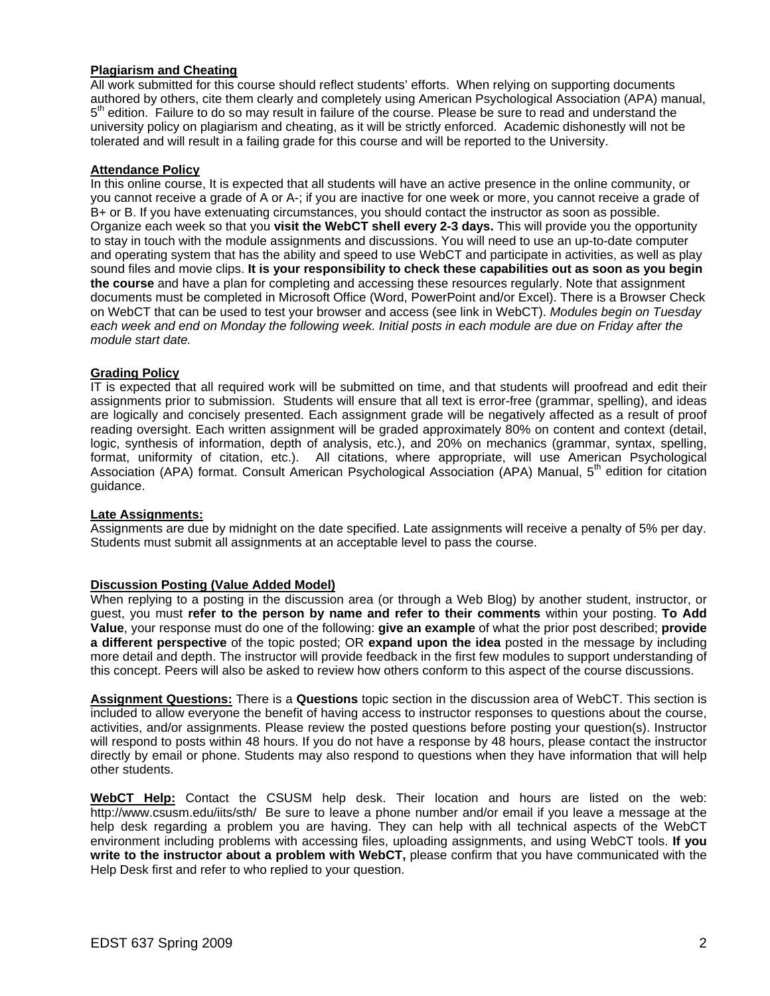### **Plagiarism and Cheating**

All work submitted for this course should reflect students' efforts. When relying on supporting documents authored by others, cite them clearly and completely using American Psychological Association (APA) manual,  $5<sup>th</sup>$  edition. Failure to do so may result in failure of the course. Please be sure to read and understand the university policy on plagiarism and cheating, as it will be strictly enforced. Academic dishonestly will not be tolerated and will result in a failing grade for this course and will be reported to the University.

## **Attendance Policy**

In this online course, It is expected that all students will have an active presence in the online community, or you cannot receive a grade of A or A-; if you are inactive for one week or more, you cannot receive a grade of B+ or B. If you have extenuating circumstances, you should contact the instructor as soon as possible. Organize each week so that you **visit the WebCT shell every 2-3 days.** This will provide you the opportunity to stay in touch with the module assignments and discussions. You will need to use an up-to-date computer and operating system that has the ability and speed to use WebCT and participate in activities, as well as play sound files and movie clips. **It is your responsibility to check these capabilities out as soon as you begin the course** and have a plan for completing and accessing these resources regularly. Note that assignment documents must be completed in Microsoft Office (Word, PowerPoint and/or Excel). There is a Browser Check on WebCT that can be used to test your browser and access (see link in WebCT). *Modules begin on Tuesday each week and end on Monday the following week. Initial posts in each module are due on Friday after the module start date.* 

## **Grading Policy**

IT is expected that all required work will be submitted on time, and that students will proofread and edit their assignments prior to submission. Students will ensure that all text is error-free (grammar, spelling), and ideas are logically and concisely presented. Each assignment grade will be negatively affected as a result of proof reading oversight. Each written assignment will be graded approximately 80% on content and context (detail, logic, synthesis of information, depth of analysis, etc.), and 20% on mechanics (grammar, syntax, spelling, format, uniformity of citation, etc.). All citations, where appropriate, will use American Psychological Association (APA) format. Consult American Psychological Association (APA) Manual, 5<sup>th</sup> edition for citation guidance.

#### **Late Assignments:**

Assignments are due by midnight on the date specified. Late assignments will receive a penalty of 5% per day. Students must submit all assignments at an acceptable level to pass the course.

## **Discussion Posting (Value Added Model)**

When replying to a posting in the discussion area (or through a Web Blog) by another student, instructor, or guest, you must **refer to the person by name and refer to their comments** within your posting. **To Add Value**, your response must do one of the following: **give an example** of what the prior post described; **provide a different perspective** of the topic posted; OR **expand upon the idea** posted in the message by including more detail and depth. The instructor will provide feedback in the first few modules to support understanding of this concept. Peers will also be asked to review how others conform to this aspect of the course discussions.

**Assignment Questions:** There is a **Questions** topic section in the discussion area of WebCT. This section is included to allow everyone the benefit of having access to instructor responses to questions about the course, activities, and/or assignments. Please review the posted questions before posting your question(s). Instructor will respond to posts within 48 hours. If you do not have a response by 48 hours, please contact the instructor directly by email or phone. Students may also respond to questions when they have information that will help other students.

**WebCT Help:** Contact the CSUSM help desk. Their location and hours are listed on the web: http://www.csusm.edu/iits/sth/ Be sure to leave a phone number and/or email if you leave a message at the help desk regarding a problem you are having. They can help with all technical aspects of the WebCT environment including problems with accessing files, uploading assignments, and using WebCT tools. **If you write to the instructor about a problem with WebCT,** please confirm that you have communicated with the Help Desk first and refer to who replied to your question.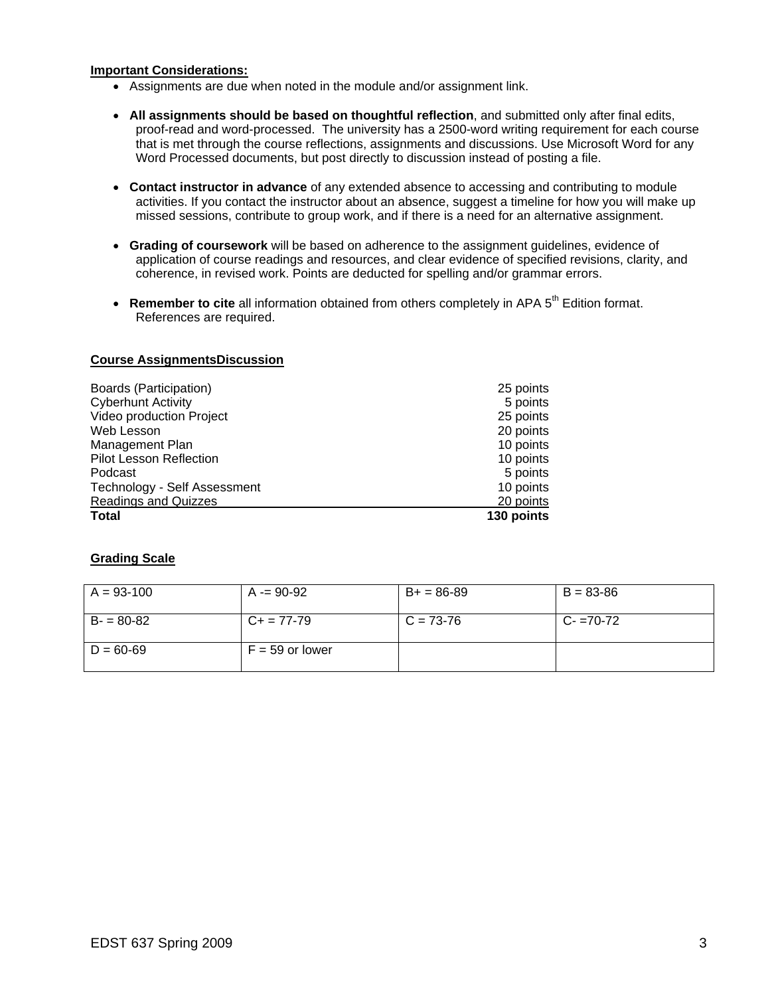### **Important Considerations:**

- Assignments are due when noted in the module and/or assignment link.
- • **All assignments should be based on thoughtful reflection**, and submitted only after final edits, proof-read and word-processed. The university has a 2500-word writing requirement for each course that is met through the course reflections, assignments and discussions. Use Microsoft Word for any Word Processed documents, but post directly to discussion instead of posting a file.
- • **Contact instructor in advance** of any extended absence to accessing and contributing to module activities. If you contact the instructor about an absence, suggest a timeline for how you will make up missed sessions, contribute to group work, and if there is a need for an alternative assignment.
- • **Grading of coursework** will be based on adherence to the assignment guidelines, evidence of application of course readings and resources, and clear evidence of specified revisions, clarity, and coherence, in revised work. Points are deducted for spelling and/or grammar errors.
- **Remember to cite** all information obtained from others completely in APA 5<sup>th</sup> Edition format. References are required.

## **Course AssignmentsDiscussion**

| Boards (Participation)         | 25 points  |
|--------------------------------|------------|
| <b>Cyberhunt Activity</b>      | 5 points   |
| Video production Project       | 25 points  |
| Web Lesson                     | 20 points  |
| Management Plan                | 10 points  |
| <b>Pilot Lesson Reflection</b> | 10 points  |
| Podcast                        | 5 points   |
| Technology - Self Assessment   | 10 points  |
| <b>Readings and Quizzes</b>    | 20 points  |
| <b>Total</b>                   | 130 points |

# **Grading Scale**

| $A = 93-100$  | $A = 90-92$       | $B+ = 86-89$ | $B = 83 - 86$ |
|---------------|-------------------|--------------|---------------|
| $B - 80 - 82$ | $C_{+}$ = 77-79   | $C = 73-76$  | $C - 70 - 72$ |
| $D = 60 - 69$ | $F = 59$ or lower |              |               |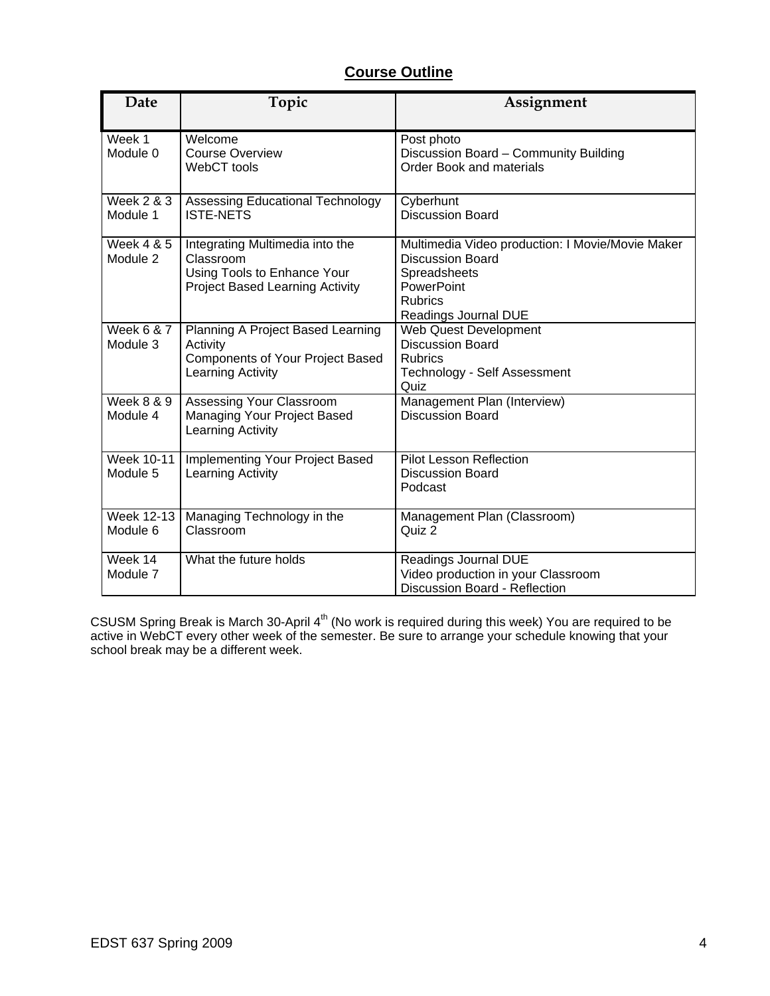# **Course Outline**

| Date                              | Topic                                                                                                                 | Assignment                                                                                                                                          |
|-----------------------------------|-----------------------------------------------------------------------------------------------------------------------|-----------------------------------------------------------------------------------------------------------------------------------------------------|
| Week 1<br>Module 0                | Welcome<br><b>Course Overview</b><br>WebCT tools                                                                      | Post photo<br>Discussion Board - Community Building<br><b>Order Book and materials</b>                                                              |
| <b>Week 2 &amp; 3</b><br>Module 1 | Assessing Educational Technology<br><b>ISTE-NETS</b>                                                                  | Cyberhunt<br><b>Discussion Board</b>                                                                                                                |
| Week 4 & 5<br>Module 2            | Integrating Multimedia into the<br>Classroom<br>Using Tools to Enhance Your<br><b>Project Based Learning Activity</b> | Multimedia Video production: I Movie/Movie Maker<br><b>Discussion Board</b><br>Spreadsheets<br>PowerPoint<br><b>Rubrics</b><br>Readings Journal DUE |
| <b>Week 6 &amp; 7</b><br>Module 3 | Planning A Project Based Learning<br>Activity<br><b>Components of Your Project Based</b><br>Learning Activity         | <b>Web Quest Development</b><br><b>Discussion Board</b><br><b>Rubrics</b><br>Technology - Self Assessment<br>Quiz                                   |
| <b>Week 8 &amp; 9</b><br>Module 4 | Assessing Your Classroom<br>Managing Your Project Based<br>Learning Activity                                          | Management Plan (Interview)<br><b>Discussion Board</b>                                                                                              |
| Week 10-11<br>Module 5            | Implementing Your Project Based<br>Learning Activity                                                                  | <b>Pilot Lesson Reflection</b><br><b>Discussion Board</b><br>Podcast                                                                                |
| <b>Week 12-13</b><br>Module 6     | Managing Technology in the<br>Classroom                                                                               | Management Plan (Classroom)<br>Quiz 2                                                                                                               |
| Week 14<br>Module 7               | What the future holds                                                                                                 | Readings Journal DUE<br>Video production in your Classroom<br>Discussion Board - Reflection                                                         |

CSUSM Spring Break is March 30-April  $4<sup>th</sup>$  (No work is required during this week) You are required to be active in WebCT every other week of the semester. Be sure to arrange your schedule knowing that your school break may be a different week.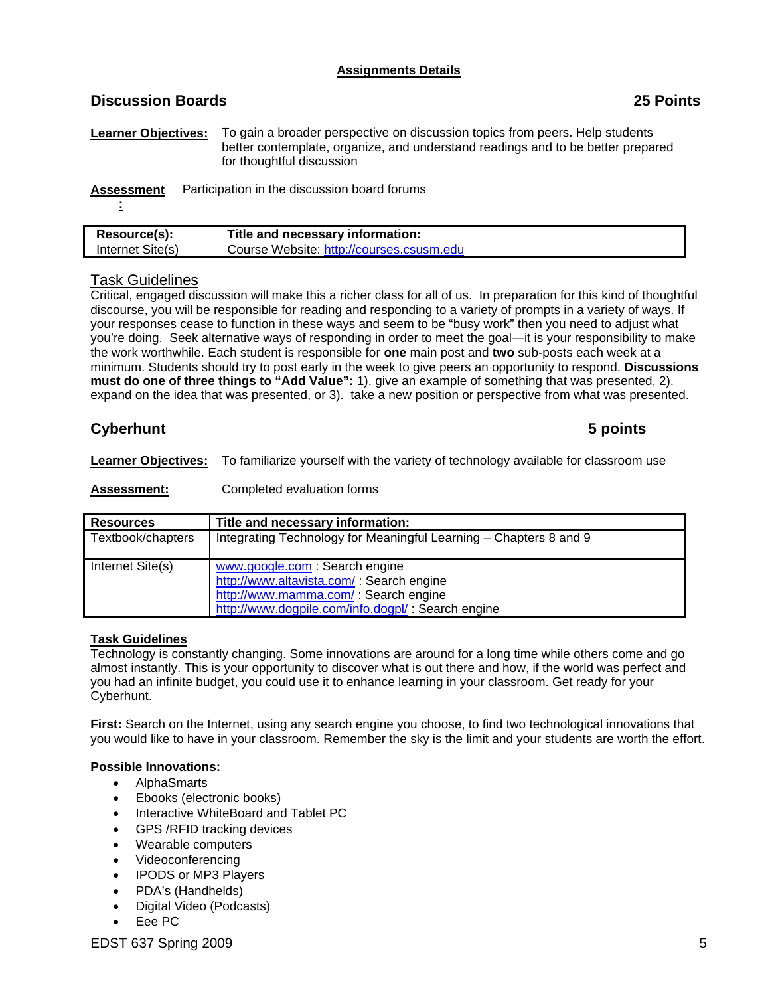# **Assignments Details**

# **Discussion Boards 25 Points**

**Learner Objectives:** To gain a broader perspective on discussion topics from peers. Help students better contemplate, organize, and understand readings and to be better prepared for thoughtful discussion

**Assessment** Participation in the discussion board forums

**:** 

| Resource(s):           | Title and necessary information:         |
|------------------------|------------------------------------------|
| Internet Site(s)       | Course Website: http://courses.csusm.edu |
|                        |                                          |
| <b>Task Guidelines</b> |                                          |

Critical, engaged discussion will make this a richer class for all of us. In preparation for this kind of thoughtful discourse, you will be responsible for reading and responding to a variety of prompts in a variety of ways. If your responses cease to function in these ways and seem to be "busy work" then you need to adjust what you're doing. Seek alternative ways of responding in order to meet the goal—it is your responsibility to make the work worthwhile. Each student is responsible for **one** main post and **two** sub-posts each week at a minimum. Students should try to post early in the week to give peers an opportunity to respond. **Discussions must do one of three things to "Add Value":** 1). give an example of something that was presented, 2). expand on the idea that was presented, or 3). take a new position or perspective from what was presented.

# **Cyberhunt** 5 points

**Learner Objectives:** To familiarize yourself with the variety of technology available for classroom use

**Assessment:** Completed evaluation forms

| <b>Resources</b>  | Title and necessary information:                                                                                                                                         |
|-------------------|--------------------------------------------------------------------------------------------------------------------------------------------------------------------------|
| Textbook/chapters | Integrating Technology for Meaningful Learning - Chapters 8 and 9                                                                                                        |
| Internet Site(s)  | www.google.com: Search engine<br>http://www.altavista.com/ : Search engine<br>http://www.mamma.com/ : Search engine<br>http://www.dogpile.com/info.dogpl/: Search engine |

# **Task Guidelines**

Technology is constantly changing. Some innovations are around for a long time while others come and go almost instantly. This is your opportunity to discover what is out there and how, if the world was perfect and you had an infinite budget, you could use it to enhance learning in your classroom. Get ready for your Cyberhunt.

**First:** Search on the Internet, using any search engine you choose, to find two technological innovations that you would like to have in your classroom. Remember the sky is the limit and your students are worth the effort.

# **Possible Innovations:**

- AlphaSmarts
- Ebooks (electronic books)
- Interactive WhiteBoard and Tablet PC
- GPS /RFID tracking devices
- Wearable computers
- Videoconferencing
- IPODS or MP3 Players
- PDA's (Handhelds)
- Digital Video (Podcasts)
- Eee PC

EDST 637 Spring 2009 5 Services and the services of the services of the services of the services of the services of the services of the services of the services of the services of the services of the services of the servic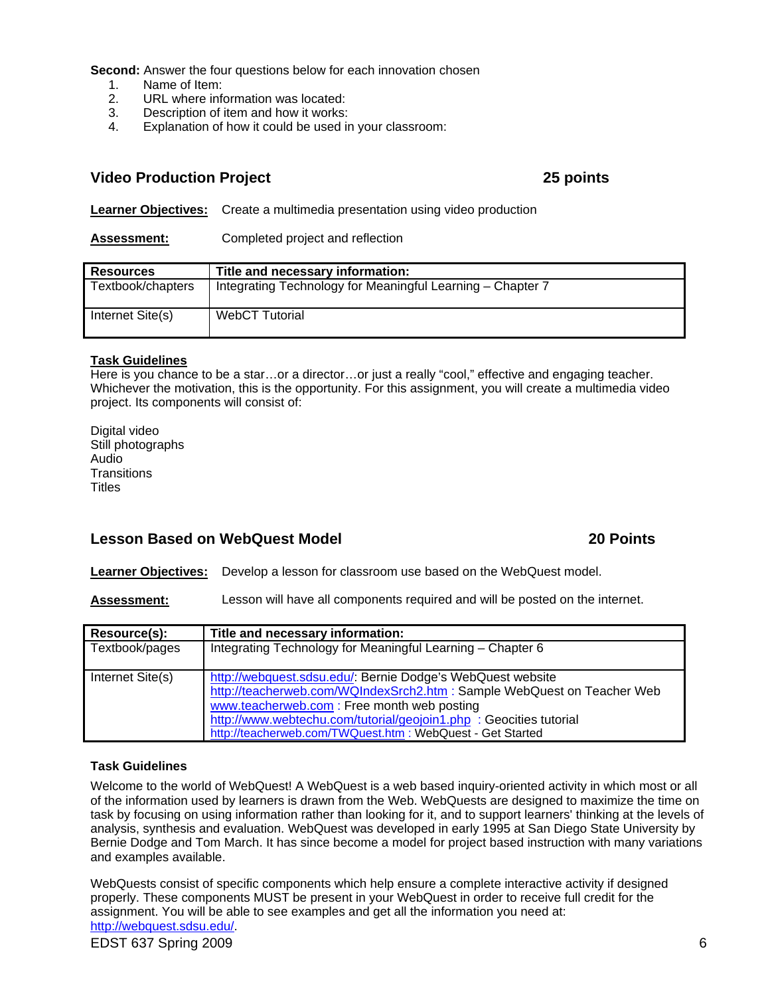**Second:** Answer the four questions below for each innovation chosen

- 1. Name of Item:<br>2. URL where info
- URL where information was located:
- 3. Description of item and how it works:
- 4. Explanation of how it could be used in your classroom:

# **Video Production Project 25 points**

**Learner Objectives:** Create a multimedia presentation using video production

**Assessment:** Completed project and reflection

| <b>Resources</b>  | Title and necessary information:                           |
|-------------------|------------------------------------------------------------|
| Textbook/chapters | Integrating Technology for Meaningful Learning - Chapter 7 |
| Internet Site(s)  | <b>WebCT Tutorial</b>                                      |

## **Task Guidelines**

Here is you chance to be a star…or a director…or just a really "cool," effective and engaging teacher. Whichever the motivation, this is the opportunity. For this assignment, you will create a multimedia video project. Its components will consist of:

Digital video Still photographs Audio **Transitions Titles** 

# **Lesson Based on WebQuest Model 20 Points**

**Learner Objectives:** Develop a lesson for classroom use based on the WebQuest model.

**Assessment:** Lesson will have all components required and will be posted on the internet.

| Resource(s):     | Title and necessary information:                                        |
|------------------|-------------------------------------------------------------------------|
| Textbook/pages   | Integrating Technology for Meaningful Learning - Chapter 6              |
|                  |                                                                         |
| Internet Site(s) | http://webquest.sdsu.edu/. Bernie Dodge's WebQuest website              |
|                  | http://teacherweb.com/WQIndexSrch2.htm : Sample WebQuest on Teacher Web |
|                  | www.teacherweb.com: Free month web posting                              |
|                  | http://www.webtechu.com/tutorial/geojoin1.php : Geocities tutorial      |
|                  | http://teacherweb.com/TWQuest.htm : WebQuest - Get Started              |

#### **Task Guidelines**

Welcome to the world of WebQuest! A WebQuest is a web based inquiry-oriented activity in which most or all of the information used by learners is drawn from the Web. WebQuests are designed to maximize the time on task by focusing on using information rather than looking for it, and to support learners' thinking at the levels of analysis, synthesis and evaluation. WebQuest was developed in early 1995 at San Diego State University by Bernie Dodge and Tom March. It has since become a model for project based instruction with many variations and examples available.

WebQuests consist of specific components which help ensure a complete interactive activity if designed properly. These components MUST be present in your WebQuest in order to receive full credit for the assignment. You will be able to see examples and get all the information you need at: http://webquest.sdsu.edu/.

EDST 637 Spring 2009 6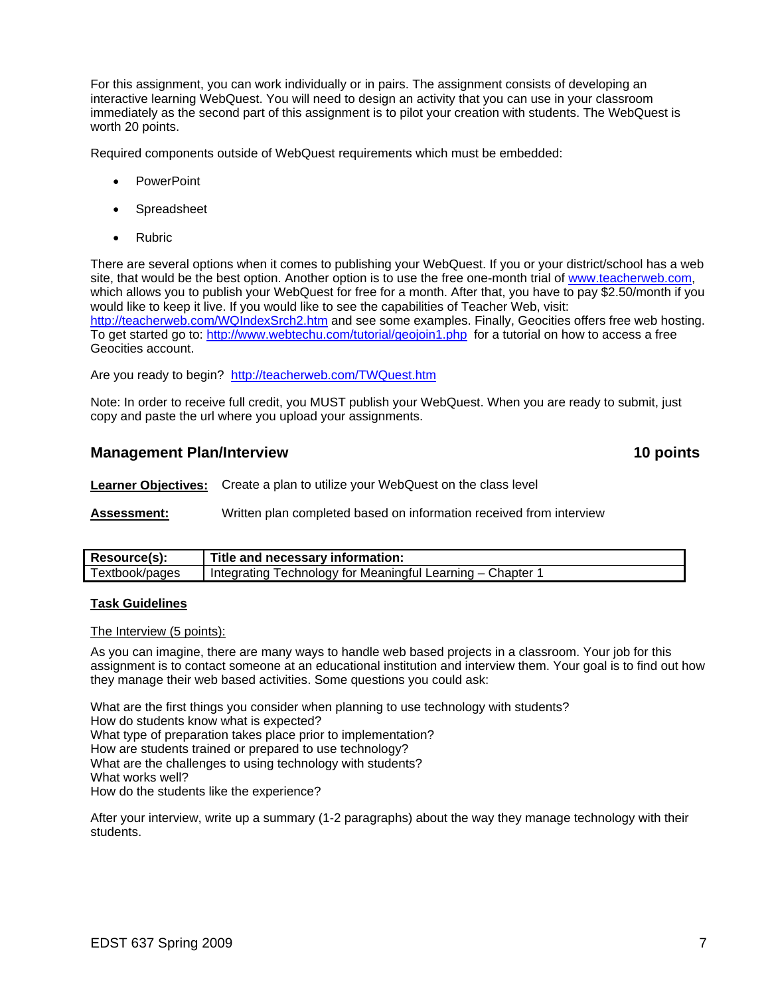For this assignment, you can work individually or in pairs. The assignment consists of developing an interactive learning WebQuest. You will need to design an activity that you can use in your classroom immediately as the second part of this assignment is to pilot your creation with students. The WebQuest is worth 20 points.

Required components outside of WebQuest requirements which must be embedded:

- PowerPoint
- Spreadsheet
- Rubric

To get started go to: http://www.webtechu.com/tutorial/geojoin1.php for a tutorial on how to access a free There are several options when it comes to publishing your WebQuest. If you or your district/school has a web site, that would be the best option. Another option is to use the free one-month trial of www.teacherweb.com, which allows you to publish your WebQuest for free for a month. After that, you have to pay \$2.50/month if you would like to keep it live. If you would like to see the capabilities of Teacher Web, visit: http://teacherweb.com/WQIndexSrch2.htm and see some examples. Finally, Geocities offers free web hosting. Geocities account.

Are you ready to begin? http://teacherweb.com/TWQuest.htm

Note: In order to receive full credit, you MUST publish your WebQuest. When you are ready to submit, just copy and paste the url where you upload your assignments.

# **Management Plan/Interview 10 points in the set of the set of the set of the set of the set of the set of the set of the set of the set of the set of the set of the set of the set of the set of the set of the set of the se**

**Learner Objectives:** Create a plan to utilize your WebQuest on the class level

**Assessment:** Written plan completed based on information received from interview

| Resource(s):   | Title and necessary information:                         |
|----------------|----------------------------------------------------------|
| Гextbook/pages | Integrating Technology for Meaningful Learning – Chapter |

#### **Task Guidelines**

The Interview (5 points):

As you can imagine, there are many ways to handle web based projects in a classroom. Your job for this assignment is to contact someone at an educational institution and interview them. Your goal is to find out how they manage their web based activities. Some questions you could ask:

What are the first things you consider when planning to use technology with students? How do students know what is expected? What type of preparation takes place prior to implementation? How are students trained or prepared to use technology? What are the challenges to using technology with students? What works well? How do the students like the experience?

After your interview, write up a summary (1-2 paragraphs) about the way they manage technology with their students.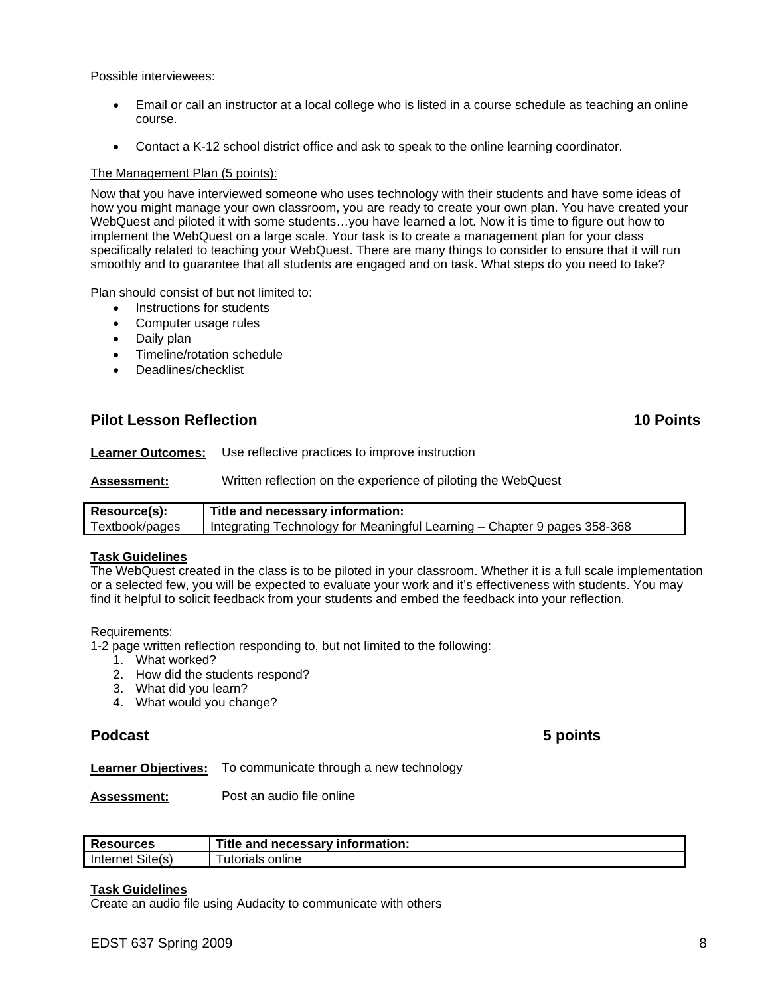Possible interviewees:

- Email or call an instructor at a local college who is listed in a course schedule as teaching an online course.
- Contact a K-12 school district office and ask to speak to the online learning coordinator.

### The Management Plan (5 points):

Now that you have interviewed someone who uses technology with their students and have some ideas of how you might manage your own classroom, you are ready to create your own plan. You have created your WebQuest and piloted it with some students…you have learned a lot. Now it is time to figure out how to implement the WebQuest on a large scale. Your task is to create a management plan for your class specifically related to teaching your WebQuest. There are many things to consider to ensure that it will run smoothly and to guarantee that all students are engaged and on task. What steps do you need to take?

Plan should consist of but not limited to:

- **Instructions for students**
- • Computer usage rules
- Daily plan
- Timeline/rotation schedule
- Deadlines/checklist

# **Pilot Lesson Reflection 10 Points**

**Learner Outcomes:** Use reflective practices to improve instruction

**Assessment:** Written reflection on the experience of piloting the WebQuest

| Resource(s):   | Title and necessary information:                                           |
|----------------|----------------------------------------------------------------------------|
| Textbook/pages | ' Integrating Technology for Meaningful Learning – Chapter 9 pages 358-368 |

#### **Task Guidelines**

The WebQuest created in the class is to be piloted in your classroom. Whether it is a full scale implementation or a selected few, you will be expected to evaluate your work and it's effectiveness with students. You may find it helpful to solicit feedback from your students and embed the feedback into your reflection.

#### Requirements:

1-2 page written reflection responding to, but not limited to the following:

- 1. What worked?
- 2. How did the students respond?
- 3. What did you learn?
- 4. What would you change?

# **Podcast 5 points**

**Learner Objectives:** To communicate through a new technology

**Assessment:** Post an audio file online

| <b>Resources</b> | Title and necessary information: |
|------------------|----------------------------------|
| Internet Site(s) | utorials<br>online               |

#### **Task Guidelines**

Create an audio file using Audacity to communicate with others